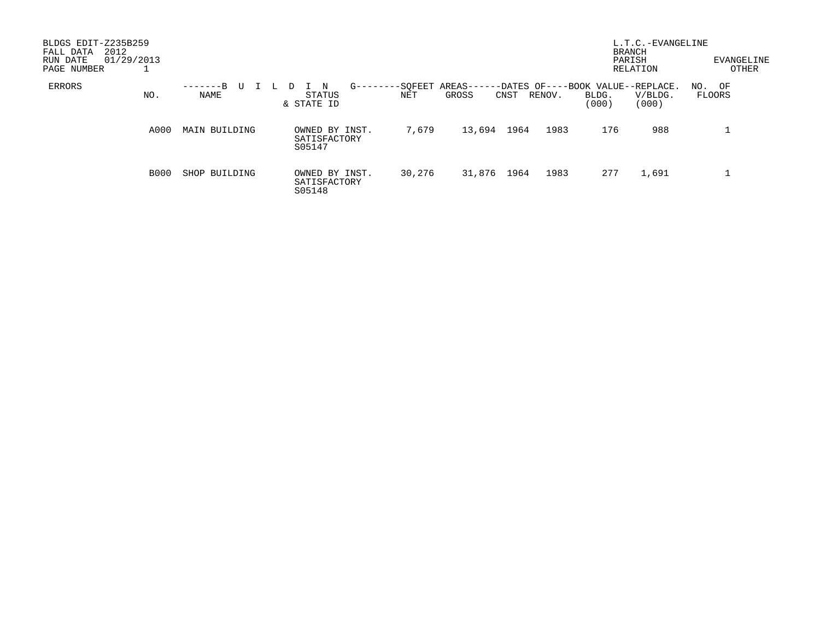| BLDGS EDIT-Z235B259<br>2012<br>FALL DATA<br>01/29/2013<br>RUN DATE<br>PAGE NUMBER |      |                  |                                          |                                       |                |                                             | <b>BRANCH</b><br>PARISH | L.T.C.-EVANGELINE<br>RELATION | EVANGELINE<br>OTHER |
|-----------------------------------------------------------------------------------|------|------------------|------------------------------------------|---------------------------------------|----------------|---------------------------------------------|-------------------------|-------------------------------|---------------------|
| <b>ERRORS</b>                                                                     | NO.  | -------B<br>NAME | N<br>STATUS<br>& STATE ID                | $G - - - -$<br>-SOFEET AREAS--<br>NET | GROSS<br>CNST  | -DATES OF----BOOK VALUE--REPLACE.<br>RENOV. | BLDG.<br>(000)          | V/BLDG.<br>(000)              | NO. OF<br>FLOORS    |
|                                                                                   | A000 | MAIN BUILDING    | OWNED BY INST.<br>SATISFACTORY<br>S05147 | 7,679                                 | 13,694<br>1964 | 1983                                        | 176                     | 988                           |                     |
|                                                                                   | B000 | SHOP BUILDING    | OWNED BY INST.<br>SATISFACTORY<br>S05148 | 30,276                                | 31,876<br>1964 | 1983                                        | 277                     | 1,691                         |                     |